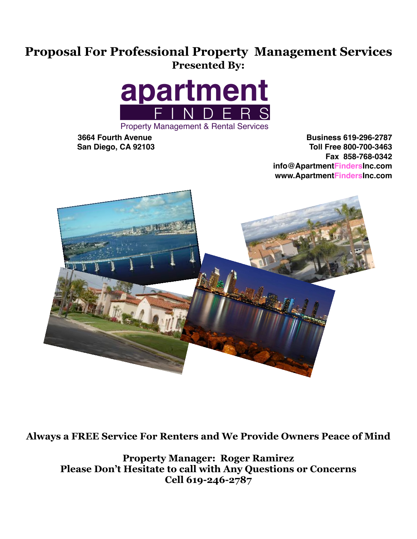## **Proposal For Professional Property Management Services Presented By:**



**3664 Fourth Avenue Business 619-296-2787 San Diego, CA 92103 Toll Free 800-700-3463 Fax 858-768-0342 info@ApartmentFindersInc.com www.ApartmentFindersInc.com**



**Always a FREE Service For Renters and We Provide Owners Peace of Mind**

**Property Manager: Roger Ramirez Please Don't Hesitate to call with Any Questions or Concerns Cell 619-246-2787**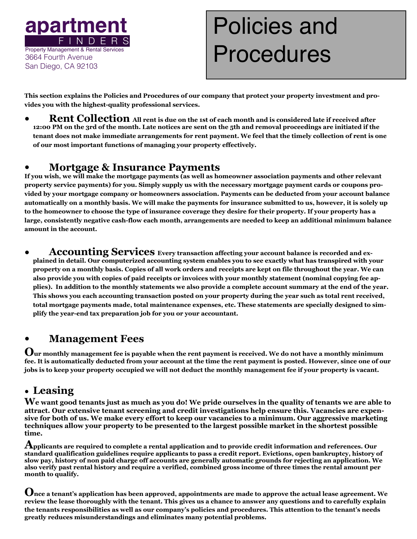

# Policies and Procedures

**This section explains the Policies and Procedures of our company that protect your property investment and provides you with the highest-quality professional services.** 

**• Rent Collection All rent is due on the 1st of each month and is considered late if received after 12:00 PM on the 3rd of the month. Late notices are sent on the 5th and removal proceedings are initiated if the tenant does not make immediate arrangements for rent payment. We feel that the timely collection of rent is one of our most important functions of managing your property effectively.** 

### **• Mortgage & Insurance Payments**

**If you wish, we will make the mortgage payments (as well as homeowner association payments and other relevant property service payments) for you. Simply supply us with the necessary mortgage payment cards or coupons provided by your mortgage company or homeowners association. Payments can be deducted from your account balance automatically on a monthly basis. We will make the payments for insurance submitted to us, however, it is solely up to the homeowner to choose the type of insurance coverage they desire for their property. If your property has a large, consistently negative cash-flow each month, arrangements are needed to keep an additional minimum balance amount in the account.** 

Accounting Services Every transaction affecting your account balance is recorded and ex**plained in detail. Our computerized accounting system enables you to see exactly what has transpired with your property on a monthly basis. Copies of all work orders and receipts are kept on file throughout the year. We can also provide you with copies of paid receipts or invoices with your monthly statement (nominal copying fee applies). In addition to the monthly statements we also provide a complete account summary at the end of the year. This shows you each accounting transaction posted on your property during the year such as total rent received, total mortgage payments made, total maintenance expenses, etc. These statements are specially designed to simplify the year-end tax preparation job for you or your accountant.** 

### **• Management Fees**

**Our monthly management fee is payable when the rent payment is received. We do not have a monthly minimum fee. It is automatically deducted from your account at the time the rent payment is posted. However, since one of our jobs is to keep your property occupied we will not deduct the monthly management fee if your property is vacant.** 

### **• Leasing**

**We want good tenants just as much as you do! We pride ourselves in the quality of tenants we are able to attract. Our extensive tenant screening and credit investigations help ensure this. Vacancies are expensive for both of us. We make every effort to keep our vacancies to a minimum. Our aggressive marketing techniques allow your property to be presented to the largest possible market in the shortest possible time.** 

**Applicants are required to complete a rental application and to provide credit information and references. Our standard qualification guidelines require applicants to pass a credit report. Evictions, open bankruptcy, history of slow pay, history of non paid charge off accounts are generally automatic grounds for rejecting an application. We also verify past rental history and require a verified, combined gross income of three times the rental amount per month to qualify.** 

**Once a tenant's application has been approved, appointments are made to approve the actual lease agreement. We review the lease thoroughly with the tenant. This gives us a chance to answer any questions and to carefully explain the tenants responsibilities as well as our company's policies and procedures. This attention to the tenant's needs greatly reduces misunderstandings and eliminates many potential problems.**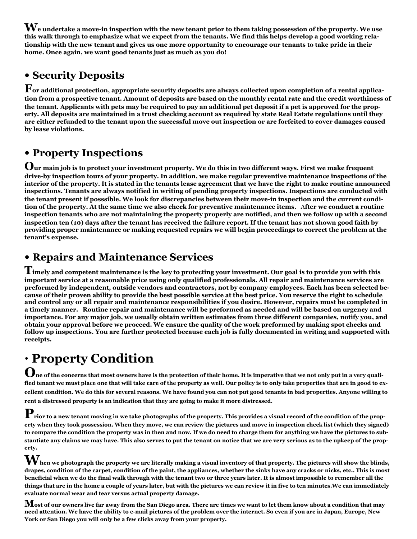**We undertake a move-in inspection with the new tenant prior to them taking possession of the property. We use this walk through to emphasize what we expect from the tenants. We find this helps develop a good working relationship with the new tenant and gives us one more opportunity to encourage our tenants to take pride in their home. Once again, we want good tenants just as much as you do!** 

### **• Security Deposits**

**For additional protection, appropriate security deposits are always collected upon completion of a rental application from a prospective tenant. Amount of deposits are based on the monthly rental rate and the credit worthiness of the tenant. Applicants with pets may be required to pay an additional pet deposit if a pet is approved for the property. All deposits are maintained in a trust checking account as required by state Real Estate regulations until they are either refunded to the tenant upon the successful move out inspection or are forfeited to cover damages caused by lease violations.** 

### **• Property Inspections**

**Our main job is to protect your investment property. We do this in two different ways. First we make frequent drive-by inspection tours of your property. In addition, we make regular preventive maintenance inspections of the interior of the property. It is stated in the tenants lease agreement that we have the right to make routine announced inspections. Tenants are always notified in writing of pending property inspections. Inspections are conducted with the tenant present if posssible. We look for discrepancies between their move-in inspection and the current condition of the property. At the same time we also check for preventive maintenance items.** A**fter we conduct a routine inspection tenants who are not maintaining the property properly are notified, and then we follow up with a second inspection ten (10) days after the tenant has received the failure report. If the tenant has not shown good faith by providing proper maintenance or making requested repairs we will begin proceedings to correct the problem at the tenant's expense.** 

### **• Repairs and Maintenance Services**

**Timely and competent maintenance is the key to protecting your investment. Our goal is to provide you with this important service at a reasonable price using only qualified professionals. All repair and maintenance services are preformed by independent, outside vendors and contractors, not by company employees. Each has been selected because of their proven ability to provide the best possible service at the best price. You reserve the right to schedule and control any or all repair and maintenance responsibilities if you desire. However, repairs must be completed in a timely manner. Routine repair and maintenance will be preformed as needed and will be based on urgency and importance. For any major job, we usually obtain written estimates from three different companies, notify you, and obtain your approval before we proceed. We ensure the quality of the work preformed by making spot checks and follow up inspections. You are further protected because each job is fully documented in writing and supported with receipts.** 

# **• Property Condition**

 $\bf{O}$ ne of the concerns that most owners have is the protection of their home. It is imperative that we not only put in a very quali**fied tenant we must place one that will take care of the property as well. Our policy is to only take properties that are in good to excellent condition. We do this for several reasons. We have found you can not put good tenants in bad properties. Anyone willing to rent a distressed property is an indication that they are going to make it more distressed.** 

 $\mathbf P$  rior to a new tenant moving in we take photographs of the property. This provides a visual record of the condition of the prop**erty when they took possession. When they move, we can review the pictures and move in inspection check list (which they signed) to compare the condition the property was in then and now. If we do need to charge them for anything we have the pictures to substantiate any claims we may have. This also serves to put the tenant on notice that we are very serious as to the upkeep of the property.** 

 $\bf{W}$  hen we photograph the property we are literally making a visual inventory of that property. The pictures will show the blinds, **drapes, condition of the carpet, condition of the paint, the appliances, whether the sinks have any cracks or nicks, etc.. This is most beneficial when we do the final walk through with the tenant two or three years later. It is almost impossible to remember all the things that are in the home a couple of years later, but with the pictures we can review it in five to ten minutes.We can immediately evaluate normal wear and tear versus actual property damage.** 

**Most of our owners live far away from the San Diego area. There are times we want to let them know about a condition that may need attention. We have the ability to e-mail pictures of the problem over the internet. So even if you are in Japan, Europe, New York or San Diego you will only be a few clicks away from your property.**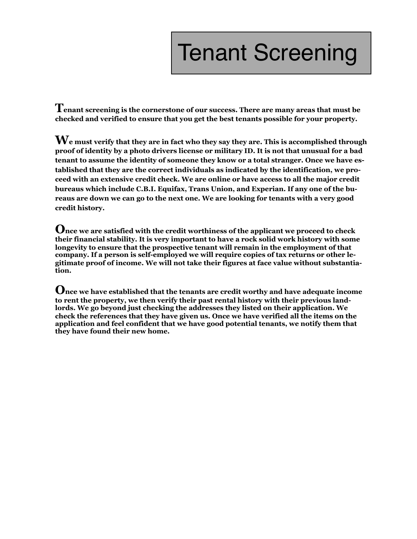# Tenant Screening

**Tenant screening is the cornerstone of our success. There are many areas that must be checked and verified to ensure that you get the best tenants possible for your property.** 

**We must verify that they are in fact who they say they are. This is accomplished through proof of identity by a photo drivers license or military ID. It is not that unusual for a bad tenant to assume the identity of someone they know or a total stranger. Once we have established that they are the correct individuals as indicated by the identification, we proceed with an extensive credit check. We are online or have access to all the major credit bureaus which include C.B.I. Equifax, Trans Union, and Experian. If any one of the bureaus are down we can go to the next one. We are looking for tenants with a very good credit history.** 

**Once we are satisfied with the credit worthiness of the applicant we proceed to check their financial stability. It is very important to have a rock solid work history with some longevity to ensure that the prospective tenant will remain in the employment of that company. If a person is self-employed we will require copies of tax returns or other legitimate proof of income. We will not take their figures at face value without substantiation.** 

**Once we have established that the tenants are credit worthy and have adequate income to rent the property, we then verify their past rental history with their previous landlords. We go beyond just checking the addresses they listed on their application. We check the references that they have given us. Once we have verified all the items on the application and feel confident that we have good potential tenants, we notify them that they have found their new home.**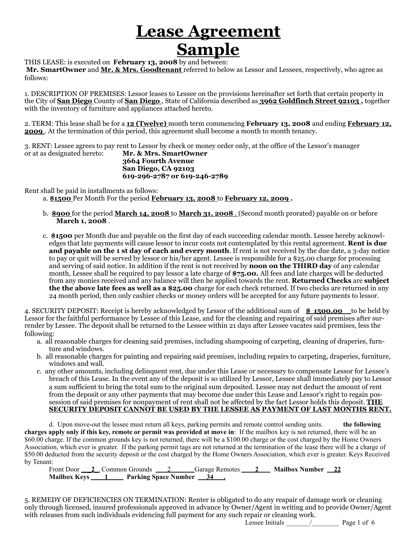# **Lease Agreement Sample**

THIS LEASE: is executed on **February 13, 2008** by and between:

 **Mr. SmartOwner** and **Mr. & Mrs. Goodtenant** referred to below as Lessor and Lessees, respectively, who agree as follows:

1. DESCRIPTION OF PREMISES: Lessor leases to Lessee on the provisions hereinafter set forth that certain property in the City of **San Diego** County of **San Diego** , State of California described as **3962 Goldfinch Street 92103 ,** together with the inventory of furniture and appliances attached hereto.

2. TERM: This lease shall be for a **12 (Twelve)** month term commencing **February 13, 2008** and ending **February 12, 2009** . At the termination of this period, this agreement shall become a month to month tenancy.

3. RENT: Lessee agrees to pay rent to Lessor by check or money order only, at the office of the Lessor's manager or at as designated hereto: Mr. & Mrs. SmartOwner **Mr. & Mrs. SmartOwner 3664 Fourth Avenue San Diego, CA 92103 619-296-2787 or 619-246-2789** 

Rent shall be paid in installments as follows:

a. **\$1500** Per Month For the period **February 13, 2008** to **February 12, 2009 .** 

- b. **\$900** for the period **March 14, 2008** to **March 31, 2008** . (Second month prorated) payable on or before **March 1, 2008** .
- c. **\$1500** per Month due and payable on the first day of each succeeding calendar month. Lessee hereby acknowledges that late payments will cause lessor to incur costs not contemplated by this rental agreement. **Rent is due and payable on the 1 st day of each and every month**. If rent is not received by the due date, a 3-day notice to pay or quit will be served by lessor or his/her agent. Lessee is responsible for a \$25.00 charge for processing and serving of said notice. In addition if the rent is not received by **noon on the THIRD day** of any calendar month, Lessee shall be required to pay lessor a late charge of **\$75.00.** All fees and late charges will be deducted from any monies received and any balance will then be applied towards the rent. **Returned Checks** are **subject the the above late fees as well as a \$25.00** charge for each check returned. If two checks are returned in any 24 month period, then only cashier checks or money orders will be accepted for any future payments to lessor.

4. SECURITY DEPOSIT: Receipt is hereby acknowledged by Lessor of the additional sum of **\$ 1500.00** to be held by Lessor for the faithful performance by Lessee of this Lease, and for the cleaning and repairing of said premises after surrender by Lessee. The deposit shall be returned to the Lessee within 21 days after Lessee vacates said premises, less the following:

- a. all reasonable charges for cleaning said premises, including shampooing of carpeting, cleaning of draperies, furnture and windows.
- b. all reasonable charges for painting and repairing said premises, including repairs to carpeting, draperies, furniture, windows and wall.
- c. any other amounts, including delinquent rent, due under this Lease or necessary to compensate Lessor for Lessee's breach of this Lease. In the event any of the deposit is so utilized by Lessor, Lessee shall immediately pay to Lessor a sum sufficient to bring the total sum to the original sum deposited. Lessee may not deduct the amount of rent from the deposit or any other payments that may become due under this Lease and Lessor's right to regain possession of said premises for nonpayment of rent shall not be affected by the fact Lessor holds this deposit. **THE SECURITY DEPOSIT CANNOT BE USED BY THE LESSEE AS PAYMENT OF LAST MONTHS RENT.**

 d. Upon move-out the lessee must return all keys, parking permits and remote control sending units. **the following charges apply only if this key, remote or permit was provided at move in**: If the mailbox key is not returned, there will be an \$60.00 charge. If the common grounds key is not returned, there will be a \$100.00 charge or the cost charged by the Home Owners Association, which ever is greater. If the parking permit tags are not returned at the termination of the lease there will be a charge of \$50.00 deducted from the security deposit or the cost charged by the Home Owners Association, which ever is greater. Keys Received by Tenant:

 Front Door \_\_**\_2**\_ Common Grounds 2Garage Remotes **2 Mailbox Number 22**  Mailbox Keys 1 **Parking Space Number 34** 

5. REMEDY OF DEFICIENCIES ON TERMINATION: Renter is obligated to do any reapair of damage work or cleaning only through licensed, insured professionals approved in advance by Owner/Agent in writing and to provide Owner/Agent with releases from such individuals evidencing full payment for any such repair or cleaning work.

Lessee Initials \_\_\_\_\_\_\_/\_\_\_\_\_\_\_\_ Page 1 of 6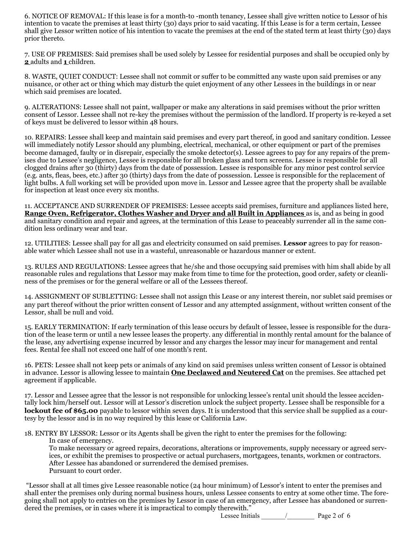6. NOTICE OF REMOVAL: If this lease is for a month-to -month tenancy, Lessee shall give written notice to Lessor of his intention to vacate the premises at least thirty (30) days prior to said vacating. If this Lease is for a term certain, Lessee shall give Lessor written notice of his intention to vacate the premises at the end of the stated term at least thirty (30) days prior thereto.

7. USE OF PREMISES: Said premises shall be used solely by Lessee for residential purposes and shall be occupied only by **2** adults and **1** children.

8. WASTE, QUIET CONDUCT: Lessee shall not commit or suffer to be committed any waste upon said premises or any nuisance, or other act or thing which may disturb the quiet enjoyment of any other Lessees in the buildings in or near which said premises are located.

9. ALTERATIONS: Lessee shall not paint, wallpaper or make any alterations in said premises without the prior written consent of Lessor. Lessee shall not re-key the premises without the permission of the landlord. If property is re-keyed a set of keys must be delivered to lessor within 48 hours.

10. REPAIRS: Lessee shall keep and maintain said premises and every part thereof, in good and sanitary condition. Lessee will immediately notify Lessor should any plumbing, electrical, mechanical, or other equipment or part of the premises become damaged, faulty or in disrepair, especially the smoke detector(s). Lessee agrees to pay for any repairs of the premises due to Lessee's negligence, Lessee is responsible for all broken glass and torn screens. Lessee is responsible for all clogged drains after 30 (thirty) days from the date of possession. Lessee is responsible for any minor pest control service (e.g. ants, fleas, bees, etc.) after 30 (thirty) days from the date of possession. Lessee is responsible for the replacement of light bulbs. A full working set will be provided upon move in. Lessor and Lessee agree that the property shall be available for inspection at least once every six months.

11. ACCEPTANCE AND SURRENDER OF PREMISES: Lessee accepts said premises, furniture and appliances listed here, **Range Oven, Refrigerator, Clothes Washer and Dryer and all Built in Appliances** as is, and as being in good and sanitary condition and repair and agrees, at the termination of this Lease to peaceably surrender all in the same condition less ordinary wear and tear.

12. UTILITIES: Lessee shall pay for all gas and electricity consumed on said premises. **Lessor** agrees to pay for reasonable water which Lessee shall not use in a wasteful, unreasonable or hazardous manner or extent.

13. RULES AND REGULATIONS: Lessee agrees that he/she and those occupying said premises with him shall abide by all reasonable rules and regulations that Lessor may make from time to time for the protection, good order, safety or cleanliness of the premises or for the general welfare or all of the Lessees thereof.

14. ASSIGNMENT OF SUBLETTING: Lessee shall not assign this Lease or any interest therein, nor sublet said premises or any part thereof without the prior written consent of Lessor and any attempted assignment, without written consent of the Lessor, shall be null and void.

15. EARLY TERMINATION: If early termination of this lease occurs by default of lessee, lessee is responsible for the duration of the lease term or until a new lessee leases the property. any differential in monthly rental amount for the balance of the lease, any advertising expense incurred by lessor and any charges the lessor may incur for management and rental fees. Rental fee shall not exceed one half of one month's rent.

16. PETS: Lessee shall not keep pets or animals of any kind on said premises unless written consent of Lessor is obtained in advance. Lessor is allowing lessee to maintain **One Declawed and Neutered Cat** on the premises. See attached pet agreement if applicable.

17. Lessor and Lessee agree that the lessor is not responsible for unlocking lessee's rental unit should the lessee accidentally lock him/herself out. Lessor will at Lessor's discretion unlock the subject property. Lessee shall be responsible for a **lockout fee of \$65.00** payable to lessor within seven days. It is understood that this service shall be supplied as a courtesy by the lessor and is in no way required by this lease or California Law.

18. ENTRY BY LESSOR: Lessor or its Agents shall be given the right to enter the premises for the following:

In case of emergency.

To make necessary or agreed repairs, decorations, alterations or improvements, supply necessary or agreed services, or exhibit the premises to prospective or actual purchasers, mortgagees, tenants, workmen or contractors. After Lessee has abandoned or surrendered the demised premises. Pursuant to court order.

 "Lessor shall at all times give Lessee reasonable notice (24 hour minimum) of Lessor's intent to enter the premises and shall enter the premises only during normal business hours, unless Lessee consents to entry at some other time. The foregoing shall not apply to entries on the premises by Lessor in case of an emergency, after Lessee has abandoned or surrendered the premises, or in cases where it is impractical to comply therewith."

Lessee Initials \_\_\_\_\_\_\_/\_\_\_\_\_\_\_\_ Page 2 of 6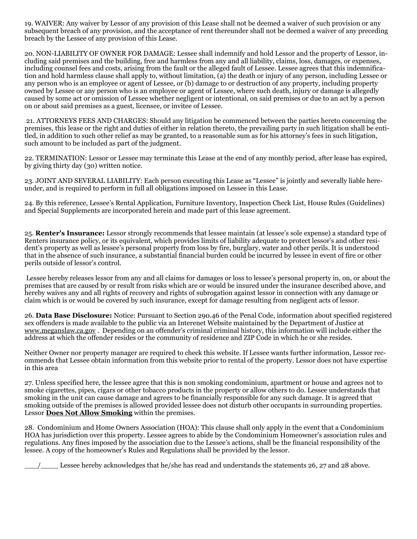19. WAIVER: Any waiver by Lessor of any provision of this Lease shall not be deemed a waiver of such provision or any subsequent breach of any provision, and the acceptance of rent thereunder shall not be deemed a waiver of any preceding breach by the Lessee of any provision of this Lease.

20. NON-LIABILITY OF OWNER FOR DAMAGE: Lessee shall indemnify and hold Lessor and the property of Lessor, including said premises and the building, free and harmless from any and all liability, claims, loss, damages, or expenses, including counsel fees and costs, arising from the fault or the alleged fault of Lessee. Lessee agrees that this indemnification and hold harmless clause shall apply to, without limitation, (a) the death or injury of any person, including Lessee or any person who is an employee or agent of Lessee, or (b) damage to or destruction of any property, including property owned by Lessee or any person who is an employee or agent of Lessee, where such death, injury or damage is allegedly caused by some act or omission of Lessee whether negligent or intentional, on said premises or due to an act by a person on or about said premises as a guest, licensee, or invitee of Lessee.

 21. ATTORNEYS FEES AND CHARGES: Should any litigation be commenced between the parties hereto concerning the premises, this lease or the right and duties of either in relation thereto, the prevailing party in such litigation shall be entitled, in addition to such other relief as may be granted, to a reasonable sum as for his attorney's fees in such litigation, such amount to be included as part of the judgment.

22. TERMINATION: Lessor or Lessee may terminate this Lease at the end of any monthly period, after lease has expired, by giving thirty day (30) written notice.

23. JOINT AND SEVERAL LIABILITY: Each person executing this Lease as "Lessee" is jointly and severally liable hereunder, and is required to perform in full all obligations imposed on Lessee in this Lease.

24. By this reference, Lessee's Rental Application, Furniture Inventory, Inspection Check List, House Rules (Guidelines) and Special Supplements are incorporated herein and made part of this lease agreement.

25. **Renter's Insurance:** Lessor strongly recommends that lessee maintain (at lessee's sole expense) a standard type of Renters insurance policy, or its equivalent, which provides limits of liability adequate to protect lessor's and other resident's property as well as lessee's personal property from loss by fire, burglary, water and other perils. It is understood that in the absence of such insurance, a substantial financial burden could be incurred by lessee in event of fire or other perils outside of lessor's control.

 Lessee hereby releases lessor from any and all claims for damages or loss to lessee's personal property in, on, or about the premises that are caused by or result from risks which are or would be insured under the insurance described above, and hereby waives any and all rights of recovery and rights of subrogation against lessor in connection with any damage or claim which is or would be covered by such insurance, except for damage resulting from negligent acts of lessor.

26. **Data Base Disclosure:** Notice: Pursuant to Section 290.46 of the Penal Code, information about specified registered sex offenders is made available to the public via an Interenet Website maintained by the Department of Justice at www.meganslaw.ca.gov . Depending on an offender's criminal criminal history, this information will include either the address at which the offender resides or the community of residence and ZIP Code in which he or she resides.

Neither Owner nor property manager are required to check this website. If Lessee wants further information, Lessor recommends that Lessee obtain information from this website prior to rental of the property. Lessor does not have expertise in this area

27. Unless specified here, the lessee agree that this is non smoking condominium, apartment or house and agrees not to smoke cigarettes, pipes, cigars or other tobacco products in the property or allow others to do. Lessee understands that smoking in the unit can cause damage and agrees to be financially responsible for any such damage. It is agreed that smoking outside of the premises is allowed provided lessee does not disturb other occupants in surrounding properties. Lessor **Does Not Allow Smoking** within the premises.

28. Condominium and Home Owners Association (HOA): This clause shall only apply in the event that a Condominium HOA has jurisdiction over this property. Lessee agrees to abide by the Condominium Homeowner's association rules and regulations. Any fines imposed by the association due to the Lessee's actions, shall be the financial responsibility of the lessee. A copy of the homeowner's Rules and Regulations shall be provided by the lessor.

\_\_\_/\_\_\_\_ Lessee hereby acknowledges that he/she has read and understands the statements 26, 27 and 28 above.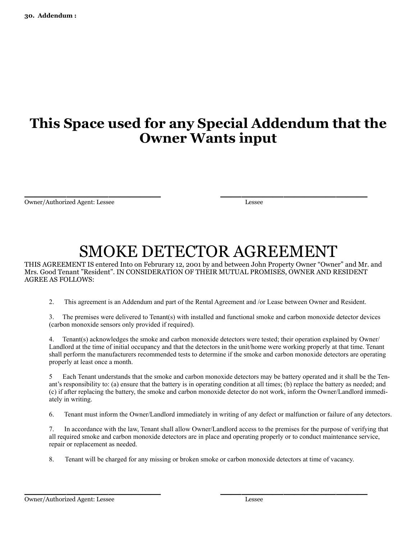## **This Space used for any Special Addendum that the Owner Wants input**

 $\overline{\phantom{a}}$  , and the contract of the contract of the contract of the contract of the contract of the contract of the contract of the contract of the contract of the contract of the contract of the contract of the contrac Owner/Authorized Agent: Lessee Lessee

# SMOKE DETECTOR AGREEMENT

THIS AGREEMENT IS entered Into on Februrary 12, 2001 by and between John Property Owner "Owner" and Mr. and Mrs. Good Tenant "Resident". IN CONSIDERATION OF THEIR MUTUAL PROMISES, OWNER AND RESIDENT AGREE AS FOLLOWS:

2. This agreement is an Addendum and part of the Rental Agreement and /or Lease between Owner and Resident.

3. The premises were delivered to Tenant(s) with installed and functional smoke and carbon monoxide detector devices (carbon monoxide sensors only provided if required).

4. Tenant(s) acknowledges the smoke and carbon monoxide detectors were tested; their operation explained by Owner/ Landlord at the time of initial occupancy and that the detectors in the unit/home were working properly at that time. Tenant shall perform the manufacturers recommended tests to determine if the smoke and carbon monoxide detectors are operating properly at least once a month.

5 Each Tenant understands that the smoke and carbon monoxide detectors may be battery operated and it shall be the Tenant's responsibility to: (a) ensure that the battery is in operating condition at all times; (b) replace the battery as needed; and (c) if after replacing the battery, the smoke and carbon monoxide detector do not work, inform the Owner/Landlord immediately in writing.

6. Tenant must inform the Owner/Landlord immediately in writing of any defect or malfunction or failure of any detectors.

7. In accordance with the law, Tenant shall allow Owner/Landlord access to the premises for the purpose of verifying that all required smoke and carbon monoxide detectors are in place and operating properly or to conduct maintenance service, repair or replacement as needed.

8. Tenant will be charged for any missing or broken smoke or carbon monoxide detectors at time of vacancy.

 $\overline{\phantom{a}}$  , and the contract of the contract of the contract of the contract of the contract of the contract of the contract of the contract of the contract of the contract of the contract of the contract of the contrac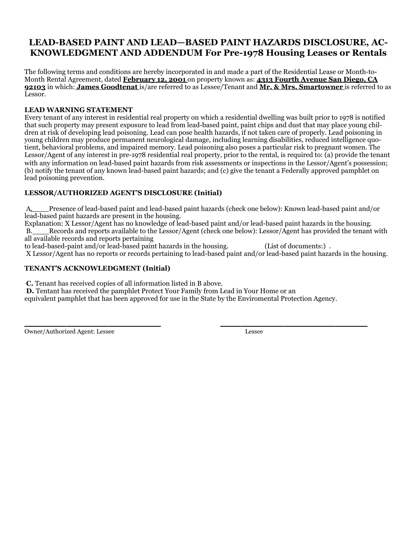### **LEAD-BASED PAINT AND LEAD—BASED PAINT HAZARDS DISCLOSURE, AC-KNOWLEDGMENT AND ADDENDUM For Pre-1978 Housing Leases or Rentals**

The following terms and conditions are hereby incorporated in and made a part of the Residential Lease or Month-to-Month Rental Agreement, dated **February 12, 2001** on property known as: **4313 Fourth Avenue San Diego, CA 92103** in which: **James Goodtenat** is/are referred to as Lessee/Tenant and **Mr. & Mrs. Smartowner** is referred to as Lessor.

#### **LEAD WARNING STATEMENT**

Every tenant of any interest in residential real property on which a residential dwelling was built prior to 1978 is notified that such property may present exposure to lead from lead-based paint, paint chips and dust that may place young children at risk of developing lead poisoning. Lead can pose health hazards, if not taken care of properly. Lead poisoning in young children may produce permanent neurological damage, including learning disabilities, reduced intelligence quotient, behavioral problems, and impaired memory. Lead poisoning also poses a particular risk to pregnant women. The Lessor/Agent of any interest in pre-1978 residential real property, prior to the rental, is required to: (a) provide the tenant with any information on lead-based paint hazards from risk assessments or inspections in the Lessor/Agent's possession; (b) notify the tenant of any known lead-based paint hazards; and (c) give the tenant a Federally approved pamphlet on lead poisoning prevention.

#### **LESSOR/AUTHORIZED AGENT'S DISCLOSURE (Initial)**

 A. Presence of lead-based paint and lead-based paint hazards (check one below): Known lead-based paint and/or lead-based paint hazards are present in the housing.

Explanation: X Lessor/Agent has no knowledge of lead-based paint and/or lead-based paint hazards in the housing. B. Records and reports available to the Lessor/Agent (check one below): Lessor/Agent has provided the tenant with all available records and reports pertaining

to lead-based-paint and/or lead-based paint hazards in the housing. (List of documents:) .

X Lessor/Agent has no reports or records pertaining to lead-based paint and/or lead-based paint hazards in the housing.

#### **TENANT'S ACKNOWLEDGMENT (Initial)**

 **C.** Tenant has received copies of all information listed in B above.

 **D.** Tentant has received the pamphlet Protect Your Family from Lead in Your Home or an

equivalent pamphlet that has been approved for use in the State by the Enviromental Protection Agency.

 $\overline{\phantom{a}}$  , and the contract of the contract of the contract of the contract of the contract of the contract of the contract of the contract of the contract of the contract of the contract of the contract of the contrac Owner/Authorized Agent: Lessee Lessee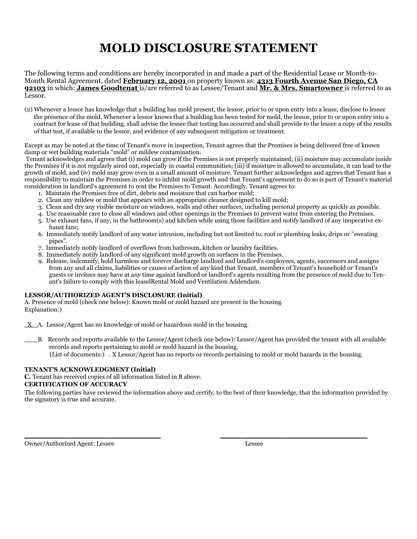# **MOLD DISCLOSURE STATEMENT**

The following terms and conditions are hereby incorporated in and made a part of the Residential Lease or Month-to-Month Rental Agreement, dated **February 12, 2001** on property known as: **4313 Fourth Avenue San Diego, CA 92103** in which: **James Goodtenat** is/are referred to as Lessee/Tenant and **Mr. & Mrs. Smartowner** is referred to as Lessor.

(2) Whenever a lessor has knowledge that a building has mold present, the lessor, prior to or upon entry into a lease, disclose to lessee the presence of the mold. Whenever a lessor knows that a building has been tested for mold, the lessor, prior to or upon entry into a contract for lease of that building, shall advise the lessee that testing has occurred and shall provide to the lessee a copy of the results of that test, if available to the lessor, and evidence of any subsequent mitigation or treatment.

Except as may be noted at the time of Tenant's move in inspection, Tenant agrees that the Premises is being delivered free of known damp or wet building materials "mold" or mildew contamination.

 Tenant acknowledges and agrees that (i) mold can grow if the Premises is not properly maintained; (ii) moisture may accumulate inside the Premises if it is not regularly aired out, especially in coastal communities; (iii) if moisture is allowed to accumulate, it can lead to the growth of mold, and (iv) mold may grow even in a small amount of moisture. Tenant further acknowledges and agrees that Tenant has a responsibility to maintain the Premises in order to inhibit mold growth and that Tenant's agreement to do so is part of Tenant's material consideration in landlord's agreement to rent the Premises to Tenant. Accordingly, Tenant agrees to:

- 1. Maintain the Premises free of dirt, debris and moisture that can harbor mold;
- 2. Clean any mildew or mold that appears with an appropriate cleaner designed to kill mold;
- 3. Clean and dry any visible moisture on windows, walls and other surfaces, including personal property as quickly as possible.
- 4. Use reasonable care to close all windows and other openings in the Premises to prevent water from entering the Premises.
- 5. Use exhaust fans, if any, in the bathroom(s) and kitchen while using those facilities and notify landlord of any inoperative exhaust fans;
- 6. Immediately notify landlord of any water intrusion, including but not limited to, roof or plumbing leaks, drips or "sweating pipes".
- 7. Immediately notify landlord of overflows from bathroom, kitchen or laundry facilities.
- 8. Immediately notify landlord of any significant mold growth on surfaces in the Premises.
- 9. Release, indemnify, hold harmless and forever discharge landlord and landlord's employees, agents, successors and assigns from any and all claims, liabilities or causes of action of any kind that Tenant, members of Tenant's household or Tenant's guests or invitees may have at any time against landlord or landlord's agents resulting from the presence of mold due to Tenant's failure to comply with this leaselRental Mold and Ventilation Addendum.

#### **LESSOR/AUTHORIZED AGENT'S DISCLOSURE (Initial)**

A. Presence of mold (check one below): Known mold or mold hazard are present in the housing. Explanation:)

 $X$  A. Lessor/Agent has no knowledge of mold or hazardous mold in the housing.

 B. Records and reports available to the Lessor/Agent (check one below): Lessor/Agent has provided the tenant with all available records and reports pertaining to mold or mold hazard in the housing. (List of documents:) . X Lessor/Agent has no reports or records pertaining to mold or mold hazards in the housing.

#### **TENANT'S ACKNOWLEDGMENT (Initial)**

**C.** Tenant has received copies of all information listed in B above.

#### **CERTIFICATION OF ACCURACY**

The following parties have reviewed the information above and certify, to the best of their knowledge, that the information provided by the signatory is true and accurate.

 $\overline{\phantom{a}}$  , and the contract of the contract of the contract of the contract of the contract of the contract of the contract of the contract of the contract of the contract of the contract of the contract of the contrac

Owner/Authorized Agent: Lessee Lessee Lessee Lessee Lessee Lessee Lessee Lessee Lessee Lessee Lessee Lessee Lessee Lessee Lessee Lessee Lessee Lessee Lessee Lessee Lessee Lessee Lessee Lessee Lessee Lessee Lessee Lessee Le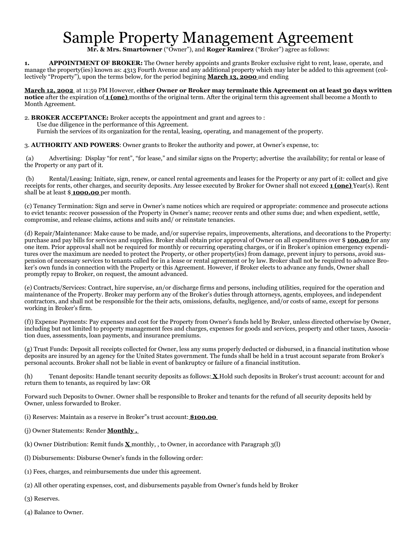# Sample Property Management Agreement

**Mr. & Mrs. Smartowner** ("Owner"), and **Roger Ramirez** ("Broker") agree as follows:

**1. APPOINTMENT OF BROKER:** The Owner hereby appoints and grants Broker exclusive right to rent, lease, operate, and manage the property(ies) known as: 4313 Fourth Avenue and any additional property which may later be added to this agreement (collectively "Property"), upon the terms below, for the period begining **March 13, 2000** and ending

**March 12, 2002** at 11:59 PM However, e**ither Owner or Broker may terminate this Agreement on at least 30 days written notice** after the expiration of **1 (one)** months of the original term. After the original term this agreement shall become a Month to Month Agreement.

2. **BROKER ACCEPTANCE:** Broker accepts the appointment and grant and agrees to :

Use due diligence in the performance of this Agreement.

Furnish the services of its organization for the rental, leasing, operating, and management of the property.

3. **AUTHORITY AND POWERS**: Owner grants to Broker the authority and power, at Owner's expense, to:

 (a) Advertising: Display "for rent", "for lease," and similar signs on the Property; advertise the availability; for rental or lease of the Property or any part of it.

 (b) Rental/Leasing: Initiate, sign, renew, or cancel rental agreements and leases for the Property or any part of it: collect and give receipts for rents, other charges, and security deposits. Any lessee executed by Broker for Owner shall not exceed **1 (one)** Year(s). Rent shall be at least \$ **1000.00** per month.

(c) Tenancy Termination: Sign and serve in Owner's name notices which are required or appropriate: commence and prosecute actions to evict tenants: recover possession of the Property in Owner's name; recover rents and other sums due; and when expedient, settle, compromise, and release claims, actions and suits and/ or reinstate tenancies.

(d) Repair/Maintenance: Make cause to be made, and/or supervise repairs, improvements, alterations, and decorations to the Property: purchase and pay bills for services and supplies. Broker shall obtain prior approval of Owner on all expenditures over \$ **100.00** for any one item. Prior approval shall not be required for monthly or recurring operating charges, or if in Broker's opinion emergency expenditures over the maximum are needed to protect the Property, or other property(ies) from damage, prevent injury to persons, avoid suspension of necessary services to tenants called for in a lease or rental agreement or by law. Broker shall not be required to advance Broker's own funds in connection with the Property or this Agreement. However, if Broker elects to advance any funds, Owner shall promptly repay to Broker, on request, the amount advanced.

(e) Contracts/Services: Contract, hire supervise, an/or discharge firms and persons, including utilities, required for the operation and maintenance of the Property. Broker may perform any of the Broker's duties through attorneys, agents, employees, and independent contractors, and shall not be responsible for the their acts, omissions, defaults, negligence, and/or costs of same, except for persons working in Broker's firm.

(f)) Expense Payments: Pay expenses and cost for the Property from Owner's funds held by Broker, unless directed otherwise by Owner, including but not limited to property management fees and charges, expenses for goods and services, property and other taxes, Association dues, assessments, loan payments, and insurance premiums.

(g) Trust Funds: Deposit all receipts collected for Owner, less any sums properly deducted or disbursed, in a financial institution whose deposits are insured by an agency for the United States government. The funds shall be held in a trust account separate from Broker's personal accounts. Broker shall not be liable in event of bankruptcy or failure of a financial institution.

(h) Tenant deposits: Handle tenant security deposits as follows: **X** Hold such deposits in Broker's trust account: account for and return them to tenants, as required by law: OR

Forward such Deposits to Owner. Owner shall be responsible to Broker and tenants for the refund of all security deposits held by Owner, unless forwarded to Broker.

(i) Reserves: Maintain as a reserve in Broker"s trust account: **\$100.00** 

- (j) Owner Statements: Render **Monthly .**
- (k) Owner Distribution: Remit funds **X** monthly, , to Owner, in accordance with Paragraph 3(l)

(l) Disbursements: Disburse Owner's funds in the following order:

(1) Fees, charges, and reimbursements due under this agreement.

- (2) All other operating expenses, cost, and disbursements payable from Owner's funds held by Broker
- (3) Reserves.
- (4) Balance to Owner.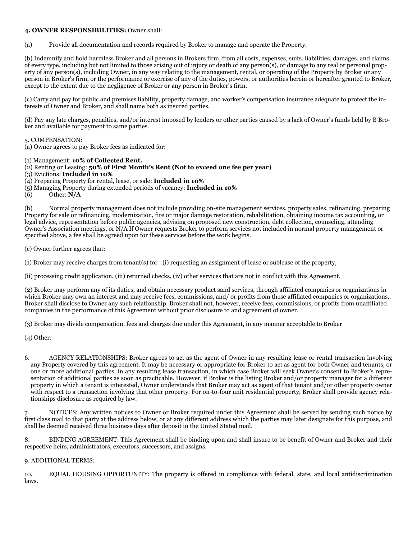#### **4. OWNER RESPONSIBILITIES:** Owner shall:

(a) Provide all documentation and records required by Broker to manage and operate the Property.

(b) Indemnify and hold harmless Broker and all persons in Brokers firm, from all costs, expenses, suits, liabilities, damages, and claims of every type, including but not limited to those arising out of injury or death of any person(s), or damage to any real or personal property of any person(s), including Owner, in any way relating to the management, rental, or operating of the Property by Broker or any person in Broker's firm, or the performance or exercise of any of the duties, powers, or authorities herein or hereafter granted to Broker, except to the extent due to the negligence of Broker or any person in Broker's firm.

(c) Carry and pay for public and premises liability, property damage, and worker's compensation insurance adequate to protect the interests of Owner and Broker, and shall name both as insured parties.

(d) Pay any late charges, penalties, and/or interest imposed by lenders or other parties caused by a lack of Owner's funds held by B Broker and available for payment to same parties.

5. COMPENSATION:

(a) Owner agrees to pay Broker fees as indicated for:

(1) Management: **10% of Collected Rent.** 

- (2) Renting or Leasing: **50% of First Month's Rent (Not to exceed one fee per year)**
- (3) Evictions: **Included in 10%**

(4) Preparing Property for rental, lease, or sale: **Included in 10%** 

- (5) Managing Property during extended periods of vacancy: **Included in 10%**
- Other:  $\overline{\bf N/A}$

(b) Normal property management does not include providing on-site management services, property sales, refinancing, preparing Property for sale or refinancing, modernization, fire or major damage restoration, rehabilitation, obtaining income tax accounting, or legal advice, representation before public agencies, advising on proposed new construction, debt collection, counseling, attending Owner's Association meetings, or N/A If Owner requests Broker to perform services not included in normal property management or specified above, a fee shall be agreed upon for these services before the work begins.

(c) Owner further agrees that:

(1) Broker may receive charges from tenant(s) for : (i) requesting an assignment of lease or sublease of the property,

(ii) processing credit application, (iii) returned checks, (iv) other services that are not in conflict with this Agreement.

(2) Broker may perform any of its duties, and obtain necessary product sand services, through affiliated companies or organizations in which Broker may own an interest and may receive fees, commissions, and/ or profits from these affiliated companies or organizations,. Broker shall disclose to Owner any such relationship. Broker shall not, however, receive fees, commissions, or profits from unaffiliated companies in the performance of this Agreement without prior disclosure to and agreement of owner.

(3) Broker may divide compensation, fees and charges due under this Agreement, in any manner acceptable to Broker

(4) Other:

6. AGENCY RELATIONSHIPS: Broker agrees to act as the agent of Owner in any resulting lease or rental transaction involving any Property covered by this agreement. It may be necessary or appropriate for Broker to act as agent for both Owner and tenants, or one or more additional parties, in any resulting lease transaction, in which case Broker will seek Owner's consent to Broker's representation of additional parties as soon as practicable. However, if Broker is the listing Broker and/or property manager for a different property in which a tenant is interested, Owner understands that Broker may act as agent of that tenant and/or other property owner with respect to a transaction involving that other property. For on-to-four unit residential property, Broker shall provide agency relationships disclosure as required by law.

7. NOTICES: Any written notices to Owner or Broker required under this Agreement shall be served by sending such notice by first class mail to that party at the address below, or at any different address which the parties may later designate for this purpose, and shall be deemed received three business days after deposit in the United Stated mail.

8. BINDING AGREEMENT: This Agreement shall be binding upon and shall insure to be benefit of Owner and Broker and their respective heirs, administrators, executors, successors, and assigns.

#### 9. ADDITIONAL TERMS:

10. EQUAL HOUSING OPPORTUNITY: The property is offered in compliance with federal, state, and local antidiscrimination laws.